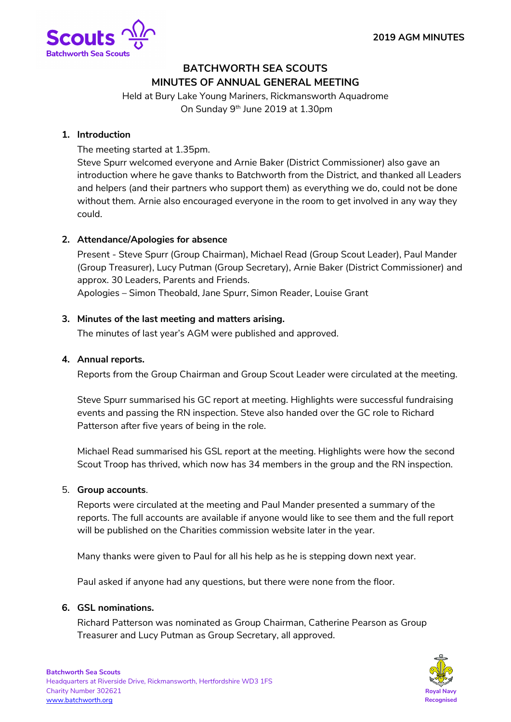

# **BATCHWORTH SEA SCOUTS MINUTES OF ANNUAL GENERAL MEETING**

Held at Bury Lake Young Mariners, Rickmansworth Aquadrome On Sunday 9<sup>th</sup> June 2019 at 1.30pm

# **1. Introduction**

The meeting started at 1.35pm.

Steve Spurr welcomed everyone and Arnie Baker (District Commissioner) also gave an introduction where he gave thanks to Batchworth from the District, and thanked all Leaders and helpers (and their partners who support them) as everything we do, could not be done without them. Arnie also encouraged everyone in the room to get involved in any way they could.

# **2. Attendance/Apologies for absence**

Present - Steve Spurr (Group Chairman), Michael Read (Group Scout Leader), Paul Mander (Group Treasurer), Lucy Putman (Group Secretary), Arnie Baker (District Commissioner) and approx. 30 Leaders, Parents and Friends.

Apologies – Simon Theobald, Jane Spurr, Simon Reader, Louise Grant

## **3. Minutes of the last meeting and matters arising.**

The minutes of last year's AGM were published and approved.

## **4. Annual reports.**

Reports from the Group Chairman and Group Scout Leader were circulated at the meeting.

Steve Spurr summarised his GC report at meeting. Highlights were successful fundraising events and passing the RN inspection. Steve also handed over the GC role to Richard Patterson after five years of being in the role.

Michael Read summarised his GSL report at the meeting. Highlights were how the second Scout Troop has thrived, which now has 34 members in the group and the RN inspection.

#### 5. **Group accounts**.

Reports were circulated at the meeting and Paul Mander presented a summary of the reports. The full accounts are available if anyone would like to see them and the full report will be published on the Charities commission website later in the year.

Many thanks were given to Paul for all his help as he is stepping down next year.

Paul asked if anyone had any questions, but there were none from the floor.

#### **6. GSL nominations.**

Richard Patterson was nominated as Group Chairman, Catherine Pearson as Group Treasurer and Lucy Putman as Group Secretary, all approved.